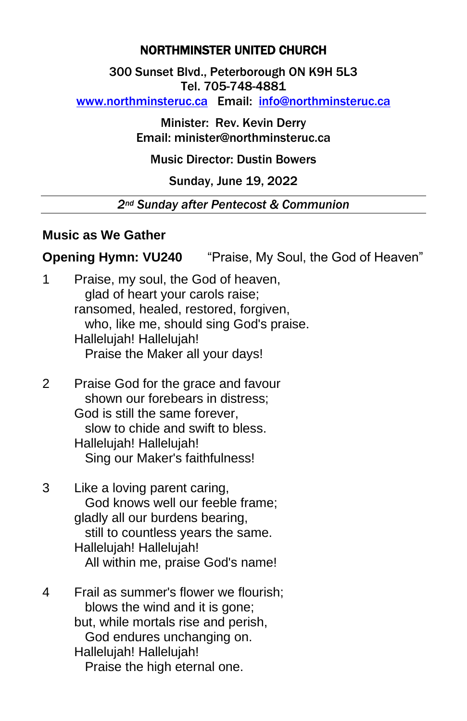## NORTHMINSTER UNITED CHURCH

300 Sunset Blvd., Peterborough ON K9H 5L3 Tel. 705-748-4881

[www.northminsteruc.ca](http://www.northminsteruc.ca/) Email: [info@northminsteruc.ca](mailto:info@northminsteruc.ca) 

Minister: Rev. Kevin Derry Email: minister@northminsteruc.ca

Music Director: Dustin Bowers

### Sunday, June 19, 2022

#### *2nd Sunday after Pentecost & Communion*

#### **Music as We Gather**

**Opening Hymn: VU240** "Praise, My Soul, the God of Heaven"

| 1 | Praise, my soul, the God of heaven,     |
|---|-----------------------------------------|
|   | glad of heart your carols raise;        |
|   | ransomed, healed, restored, forgiven,   |
|   | who, like me, should sing God's praise. |
|   | Hallelujah! Hallelujah!                 |
|   | Praise the Maker all your days!         |
|   |                                         |

- 2 Praise God for the grace and favour shown our forebears in distress; God is still the same forever, slow to chide and swift to bless. Hallelujah! Hallelujah! Sing our Maker's faithfulness!
- 3 Like a loving parent caring, God knows well our feeble frame; gladly all our burdens bearing, still to countless years the same. Hallelujah! Hallelujah! All within me, praise God's name!
- 4 Frail as summer's flower we flourish; blows the wind and it is gone; but, while mortals rise and perish, God endures unchanging on. Hallelujah! Hallelujah! Praise the high eternal one.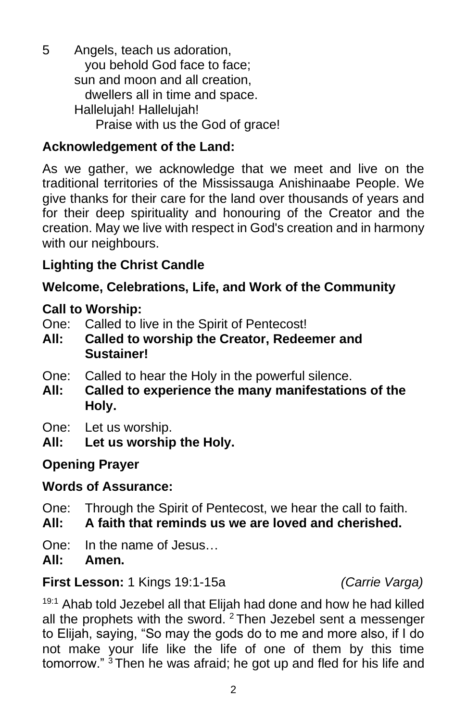5 Angels, teach us adoration, you behold God face to face; sun and moon and all creation, dwellers all in time and space. Hallelujah! Hallelujah! Praise with us the God of grace!

# **Acknowledgement of the Land:**

As we gather, we acknowledge that we meet and live on the traditional territories of the Mississauga Anishinaabe People. We give thanks for their care for the land over thousands of years and for their deep spirituality and honouring of the Creator and the creation. May we live with respect in God's creation and in harmony with our neighbours.

# **Lighting the Christ Candle**

# **Welcome, Celebrations, Life, and Work of the Community**

## **Call to Worship:**

One: Called to live in the Spirit of Pentecost!

- **All: Called to worship the Creator, Redeemer and Sustainer!**
- One: Called to hear the Holy in the powerful silence.
- **All: Called to experience the many manifestations of the Holy.**
- One: Let us worship.
- **All: Let us worship the Holy.**

## **Opening Prayer**

## **Words of Assurance:**

- One: Through the Spirit of Pentecost, we hear the call to faith.
- **All: A faith that reminds us we are loved and cherished.**
- One: In the name of Jesus…

**All: Amen.**

#### **First Lesson:** 1 Kings 19:1-15a *(Carrie Varga)*

<sup>19:1</sup> Ahab told Jezebel all that Elijah had done and how he had killed all the prophets with the sword. <sup>2</sup> Then Jezebel sent a messenger to Elijah, saying, "So may the gods do to me and more also, if I do not make your life like the life of one of them by this time tomorrow." <sup>3</sup> Then he was afraid; he got up and fled for his life and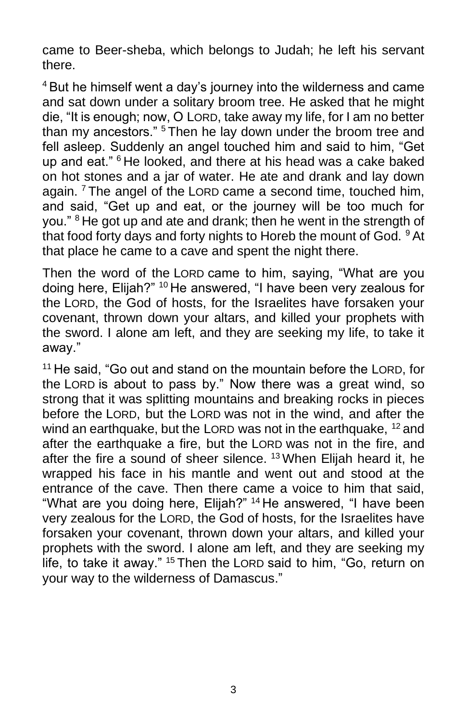came to Beer-sheba, which belongs to Judah; he left his servant there.

<sup>4</sup> But he himself went a day's journey into the wilderness and came and sat down under a solitary broom tree. He asked that he might die, "It is enough; now, O LORD, take away my life, for I am no better than my ancestors." <sup>5</sup> Then he lay down under the broom tree and fell asleep. Suddenly an angel touched him and said to him, "Get up and eat." <sup>6</sup> He looked, and there at his head was a cake baked on hot stones and a jar of water. He ate and drank and lay down again.<sup>7</sup> The angel of the LORD came a second time, touched him, and said, "Get up and eat, or the journey will be too much for you." <sup>8</sup> He got up and ate and drank; then he went in the strength of that food forty days and forty nights to Horeb the mount of God. <sup>9</sup> At that place he came to a cave and spent the night there.

Then the word of the LORD came to him, saying, "What are you doing here, Elijah?" <sup>10</sup> He answered, "I have been very zealous for the LORD, the God of hosts, for the Israelites have forsaken your covenant, thrown down your altars, and killed your prophets with the sword. I alone am left, and they are seeking my life, to take it away."

<sup>11</sup> He said, "Go out and stand on the mountain before the LORD, for the LORD is about to pass by." Now there was a great wind, so strong that it was splitting mountains and breaking rocks in pieces before the LORD, but the LORD was not in the wind, and after the wind an earthquake, but the LORD was not in the earthquake, <sup>12</sup> and after the earthquake a fire, but the LORD was not in the fire, and after the fire a sound of sheer silence. <sup>13</sup> When Elijah heard it, he wrapped his face in his mantle and went out and stood at the entrance of the cave. Then there came a voice to him that said, "What are you doing here, Elijah?" <sup>14</sup> He answered, "I have been very zealous for the LORD, the God of hosts, for the Israelites have forsaken your covenant, thrown down your altars, and killed your prophets with the sword. I alone am left, and they are seeking my life, to take it away." <sup>15</sup> Then the LORD said to him, "Go, return on your way to the wilderness of Damascus."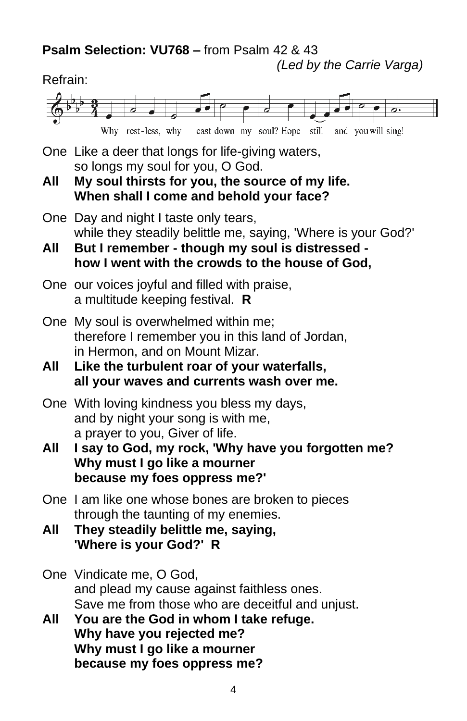**Psalm Selection: VU768 –** from Psalm 42 & 43

*(Led by the Carrie Varga)*

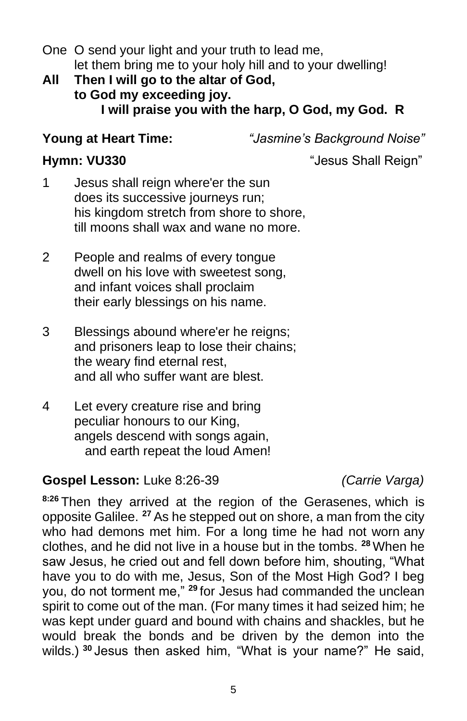One O send your light and your truth to lead me, let them bring me to your holy hill and to your dwelling!

## **All Then I will go to the altar of God, to God my exceeding joy. I will praise you with the harp, O God, my God. R**

**Young at Heart Time:** *"Jasmine's Background Noise"*

**Hymn: VU330** "Jesus Shall Reign"

- 1 Jesus shall reign where'er the sun does its successive journeys run; his kingdom stretch from shore to shore, till moons shall wax and wane no more.
- 2 People and realms of every tongue dwell on his love with sweetest song, and infant voices shall proclaim their early blessings on his name.
- 3 Blessings abound where'er he reigns; and prisoners leap to lose their chains; the weary find eternal rest, and all who suffer want are blest.
- 4 Let every creature rise and bring peculiar honours to our King, angels descend with songs again, and earth repeat the loud Amen!

# **Gospel Lesson:** Luke 8:26-39 *(Carrie Varga)*

**8:26** Then they arrived at the region of the Gerasenes, which is opposite Galilee. **<sup>27</sup>** As he stepped out on shore, a man from the city who had demons met him. For a long time he had not worn any clothes, and he did not live in a house but in the tombs. **<sup>28</sup>** When he saw Jesus, he cried out and fell down before him, shouting, "What have you to do with me, Jesus, Son of the Most High God? I beg you, do not torment me," **<sup>29</sup>** for Jesus had commanded the unclean spirit to come out of the man. (For many times it had seized him; he was kept under guard and bound with chains and shackles, but he would break the bonds and be driven by the demon into the wilds.) **<sup>30</sup>** Jesus then asked him, "What is your name?" He said,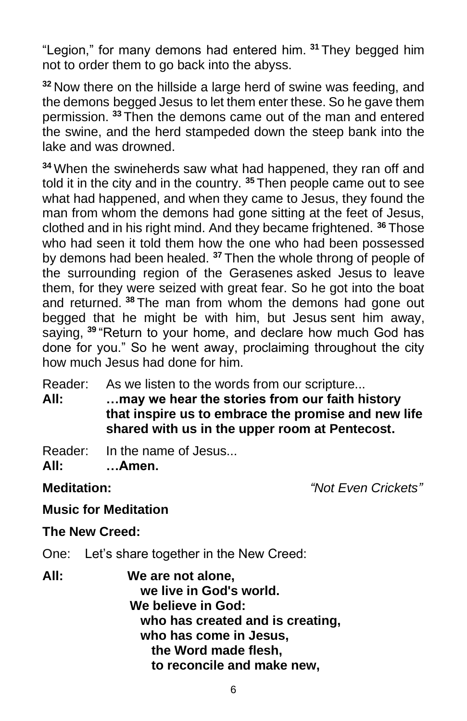"Legion," for many demons had entered him. **<sup>31</sup>** They begged him not to order them to go back into the abyss.

**<sup>32</sup>** Now there on the hillside a large herd of swine was feeding, and the demons begged Jesus to let them enter these. So he gave them permission. **<sup>33</sup>** Then the demons came out of the man and entered the swine, and the herd stampeded down the steep bank into the lake and was drowned.

**<sup>34</sup>** When the swineherds saw what had happened, they ran off and told it in the city and in the country. **<sup>35</sup>** Then people came out to see what had happened, and when they came to Jesus, they found the man from whom the demons had gone sitting at the feet of Jesus, clothed and in his right mind. And they became frightened. **<sup>36</sup>** Those who had seen it told them how the one who had been possessed by demons had been healed. **<sup>37</sup>** Then the whole throng of people of the surrounding region of the Gerasenes asked Jesus to leave them, for they were seized with great fear. So he got into the boat and returned. **<sup>38</sup>** The man from whom the demons had gone out begged that he might be with him, but Jesus sent him away, saying, **<sup>39</sup>** "Return to your home, and declare how much God has done for you." So he went away, proclaiming throughout the city how much Jesus had done for him.

Reader: As we listen to the words from our scripture...

**All: …may we hear the stories from our faith history that inspire us to embrace the promise and new life shared with us in the upper room at Pentecost.**

Reader: In the name of Jesus...

**All: …Amen.**

**Meditation:** *"Not Even Crickets"*

# **Music for Meditation**

## **The New Creed:**

One: Let's share together in the New Creed:

**All: We are not alone, we live in God's world. We believe in God: who has created and is creating, who has come in Jesus, the Word made flesh, to reconcile and make new,**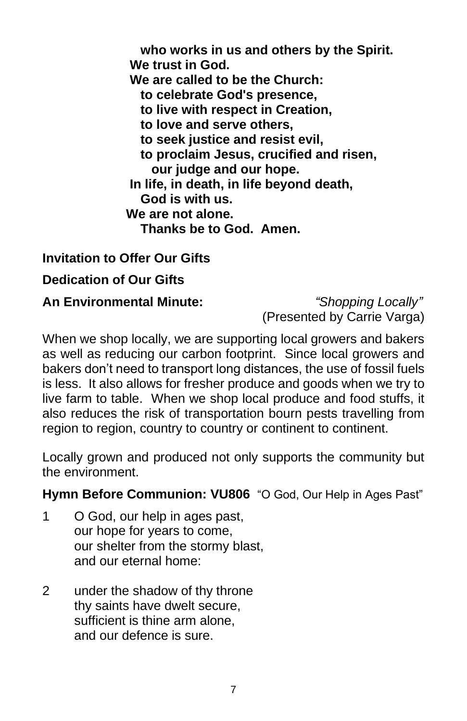**who works in us and others by the Spirit. We trust in God. We are called to be the Church: to celebrate God's presence, to live with respect in Creation, to love and serve others, to seek justice and resist evil, to proclaim Jesus, crucified and risen, our judge and our hope. In life, in death, in life beyond death, God is with us. We are not alone. Thanks be to God. Amen.**

# **Invitation to Offer Our Gifts**

### **Dedication of Our Gifts**

#### **An Environmental Minute:** *"Shopping Locally"*

(Presented by Carrie Varga)

When we shop locally, we are supporting local growers and bakers as well as reducing our carbon footprint. Since local growers and bakers don't need to transport long distances, the use of fossil fuels is less. It also allows for fresher produce and goods when we try to live farm to table. When we shop local produce and food stuffs, it also reduces the risk of transportation bourn pests travelling from region to region, country to country or continent to continent.

Locally grown and produced not only supports the community but the environment.

#### **Hymn Before Communion: VU806** "O God, Our Help in Ages Past"

- 1 O God, our help in ages past, our hope for years to come, our shelter from the stormy blast, and our eternal home:
- 2 under the shadow of thy throne thy saints have dwelt secure, sufficient is thine arm alone, and our defence is sure.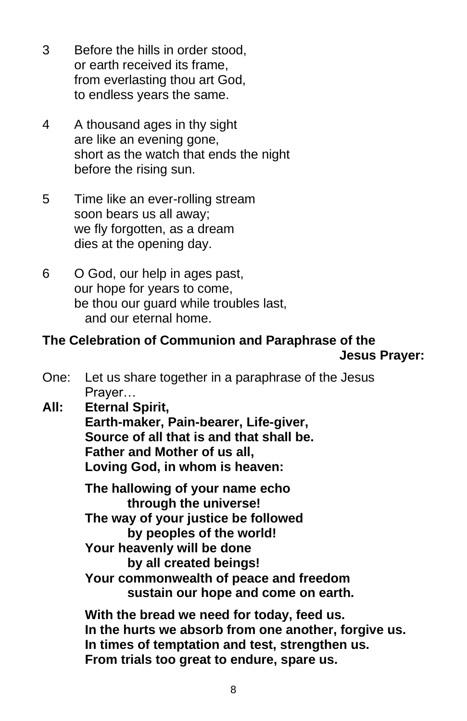- 3 Before the hills in order stood, or earth received its frame, from everlasting thou art God, to endless years the same.
- 4 A thousand ages in thy sight are like an evening gone, short as the watch that ends the night before the rising sun.
- 5 Time like an ever-rolling stream soon bears us all away; we fly forgotten, as a dream dies at the opening day.
- 6 O God, our help in ages past, our hope for years to come, be thou our guard while troubles last, and our eternal home.

### **The Celebration of Communion and Paraphrase of the Jesus Prayer:**

- One: Let us share together in a paraphrase of the Jesus Prayer…
- **All: Eternal Spirit, Earth-maker, Pain-bearer, Life-giver, Source of all that is and that shall be. Father and Mother of us all, Loving God, in whom is heaven:**

**The hallowing of your name echo through the universe! The way of your justice be followed by peoples of the world! Your heavenly will be done by all created beings! Your commonwealth of peace and freedom sustain our hope and come on earth.**

**With the bread we need for today, feed us. In the hurts we absorb from one another, forgive us. In times of temptation and test, strengthen us. From trials too great to endure, spare us.**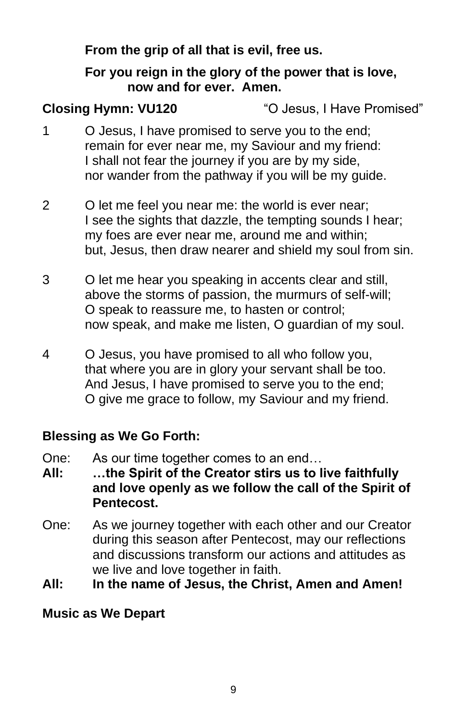**From the grip of all that is evil, free us.**

## **For you reign in the glory of the power that is love, now and for ever. Amen.**

**Closing Hymn: VU120** "O Jesus, I Have Promised"

- 1 O Jesus, I have promised to serve you to the end; remain for ever near me, my Saviour and my friend: I shall not fear the journey if you are by my side, nor wander from the pathway if you will be my guide.
- 2 O let me feel you near me: the world is ever near; I see the sights that dazzle, the tempting sounds I hear; my foes are ever near me, around me and within; but, Jesus, then draw nearer and shield my soul from sin.
- 3 O let me hear you speaking in accents clear and still, above the storms of passion, the murmurs of self-will; O speak to reassure me, to hasten or control; now speak, and make me listen, O guardian of my soul.
- 4 O Jesus, you have promised to all who follow you, that where you are in glory your servant shall be too. And Jesus, I have promised to serve you to the end; O give me grace to follow, my Saviour and my friend.

# **Blessing as We Go Forth:**

- One: As our time together comes to an end…
- **All: …the Spirit of the Creator stirs us to live faithfully and love openly as we follow the call of the Spirit of Pentecost.**
- One: As we journey together with each other and our Creator during this season after Pentecost, may our reflections and discussions transform our actions and attitudes as we live and love together in faith.
- **All: In the name of Jesus, the Christ, Amen and Amen!**

# **Music as We Depart**